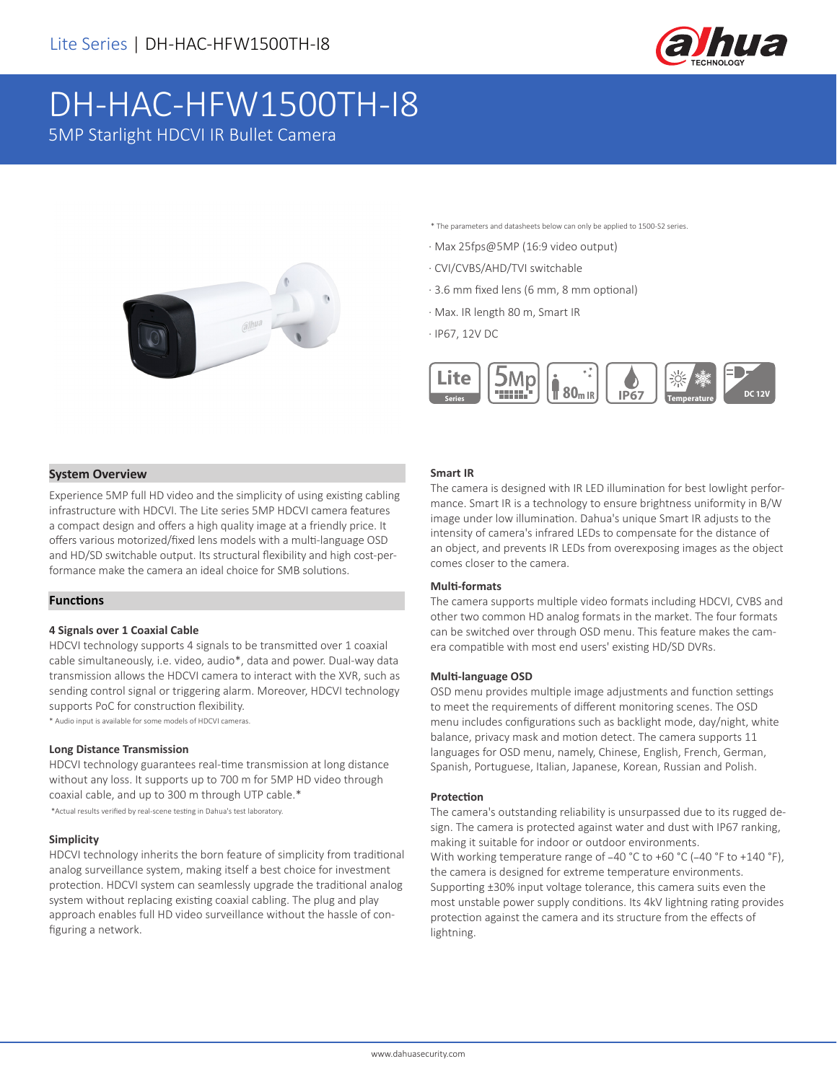

# DH-HAC-HFW1500TH-I8

5MP Starlight HDCVI IR Bullet Camera



\* The parameters and datasheets below can only be applied to 1500-S2 series.

- · Max 25fps@5MP (16:9 video output)
- · CVI/CVBS/AHD/TVI switchable
- · 3.6 mm fixed lens (6 mm, 8 mm optional)
- · Max. IR length 80 m, Smart IR

· IP67, 12V DC



#### **System Overview**

Experience 5MP full HD video and the simplicity of using existing cabling infrastructure with HDCVI. The Lite series 5MP HDCVI camera features a compact design and offers a high quality image at a friendly price. It offers various motorized/fixed lens models with a multi-language OSD and HD/SD switchable output. Its structural flexibility and high cost-performance make the camera an ideal choice for SMB solutions.

#### **Functions**

#### **4 Signals over 1 Coaxial Cable**

HDCVI technology supports 4 signals to be transmitted over 1 coaxial cable simultaneously, i.e. video, audio\*, data and power. Dual-way data transmission allows the HDCVI camera to interact with the XVR, such as sending control signal or triggering alarm. Moreover, HDCVI technology supports PoC for construction flexibility.

\* Audio input is available for some models of HDCVI cameras.

#### **Long Distance Transmission**

HDCVI technology guarantees real-time transmission at long distance without any loss. It supports up to 700 m for 5MP HD video through coaxial cable, and up to 300 m through UTP cable.\* \*Actual results verified by real-scene testing in Dahua's test laboratory.

#### **Simplicity**

HDCVI technology inherits the born feature of simplicity from traditional analog surveillance system, making itself a best choice for investment protection. HDCVI system can seamlessly upgrade the traditional analog system without replacing existing coaxial cabling. The plug and play approach enables full HD video surveillance without the hassle of configuring a network.

#### **Smart IR**

The camera is designed with IR LED illumination for best lowlight performance. Smart IR is a technology to ensure brightness uniformity in B/W image under low illumination. Dahua's unique Smart IR adjusts to the intensity of camera's infrared LEDs to compensate for the distance of an object, and prevents IR LEDs from overexposing images as the object comes closer to the camera.

#### **Multi-formats**

The camera supports multiple video formats including HDCVI, CVBS and other two common HD analog formats in the market. The four formats can be switched over through OSD menu. This feature makes the camera compatible with most end users' existing HD/SD DVRs.

#### **Multi-language OSD**

OSD menu provides multiple image adjustments and function settings to meet the requirements of different monitoring scenes. The OSD menu includes configurations such as backlight mode, day/night, white balance, privacy mask and motion detect. The camera supports 11 languages for OSD menu, namely, Chinese, English, French, German, Spanish, Portuguese, Italian, Japanese, Korean, Russian and Polish.

#### **Protection**

The camera's outstanding reliability is unsurpassed due to its rugged design. The camera is protected against water and dust with IP67 ranking, making it suitable for indoor or outdoor environments. With working temperature range of -40 °C to +60 °C (-40 °F to +140 °F), the camera is designed for extreme temperature environments. Supporting ±30% input voltage tolerance, this camera suits even the most unstable power supply conditions. Its 4kV lightning rating provides protection against the camera and its structure from the effects of lightning.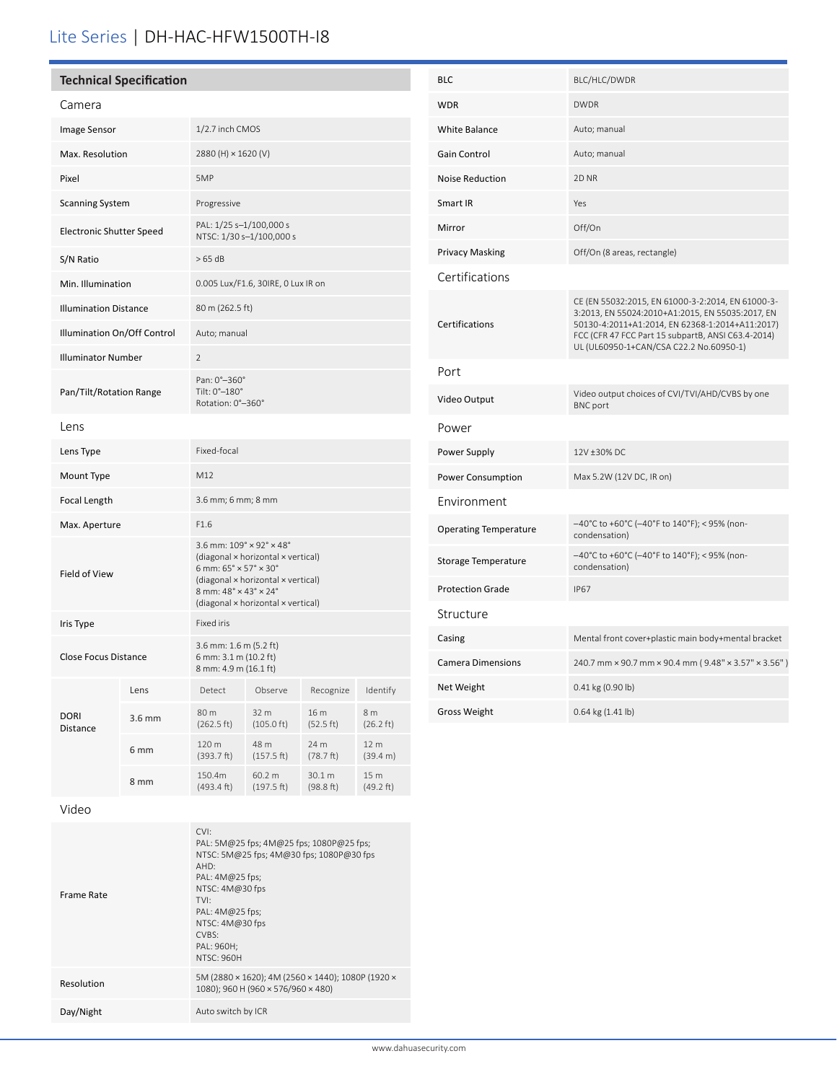## Lite Series | DH-HAC-HFW1500TH-I8

| <b>Technical Specification</b> |        |                                                                                                                                                                                                                                                          |                              |                     |                            |  |  |
|--------------------------------|--------|----------------------------------------------------------------------------------------------------------------------------------------------------------------------------------------------------------------------------------------------------------|------------------------------|---------------------|----------------------------|--|--|
| Camera                         |        |                                                                                                                                                                                                                                                          |                              |                     |                            |  |  |
| Image Sensor                   |        | 1/2.7 inch CMOS                                                                                                                                                                                                                                          |                              |                     |                            |  |  |
| Max. Resolution                |        | 2880 (H) × 1620 (V)                                                                                                                                                                                                                                      |                              |                     |                            |  |  |
| Pixel                          |        | 5MP                                                                                                                                                                                                                                                      |                              |                     |                            |  |  |
| <b>Scanning System</b>         |        | Progressive                                                                                                                                                                                                                                              |                              |                     |                            |  |  |
| Electronic Shutter Speed       |        | PAL: 1/25 s-1/100,000 s<br>NTSC: 1/30 s-1/100,000 s                                                                                                                                                                                                      |                              |                     |                            |  |  |
| S/N Ratio                      |        | >65 dB                                                                                                                                                                                                                                                   |                              |                     |                            |  |  |
| Min. Illumination              |        | 0.005 Lux/F1.6, 30IRE, 0 Lux IR on                                                                                                                                                                                                                       |                              |                     |                            |  |  |
| <b>Illumination Distance</b>   |        | 80 m (262.5 ft)                                                                                                                                                                                                                                          |                              |                     |                            |  |  |
| Illumination On/Off Control    |        | Auto; manual                                                                                                                                                                                                                                             |                              |                     |                            |  |  |
| <b>Illuminator Number</b>      |        | $\overline{2}$                                                                                                                                                                                                                                           |                              |                     |                            |  |  |
| Pan/Tilt/Rotation Range        |        | Pan: 0°-360°<br>Tilt: 0°-180°<br>Rotation: 0°-360°                                                                                                                                                                                                       |                              |                     |                            |  |  |
| Lens                           |        |                                                                                                                                                                                                                                                          |                              |                     |                            |  |  |
| Lens Type                      |        | Fixed-focal                                                                                                                                                                                                                                              |                              |                     |                            |  |  |
| Mount Type                     |        | M12                                                                                                                                                                                                                                                      |                              |                     |                            |  |  |
| Focal Length                   |        | 3.6 mm; 6 mm; 8 mm                                                                                                                                                                                                                                       |                              |                     |                            |  |  |
| Max. Aperture                  |        | F1.6                                                                                                                                                                                                                                                     |                              |                     |                            |  |  |
| Field of View                  |        | 3.6 mm: $109^\circ \times 92^\circ \times 48^\circ$<br>(diagonal × horizontal × vertical)<br>6 mm: $65^{\circ} \times 57^{\circ} \times 30^{\circ}$<br>(diagonal × horizontal × vertical)<br>8 mm: 48° × 43° × 24°<br>(diagonal × horizontal × vertical) |                              |                     |                            |  |  |
| Iris Type                      |        | Fixed iris                                                                                                                                                                                                                                               |                              |                     |                            |  |  |
| <b>Close Focus Distance</b>    |        | 3.6 mm: 1.6 m (5.2 ft)<br>6 mm: 3.1 m (10.2 ft)<br>8 mm: 4.9 m (16.1 ft)                                                                                                                                                                                 |                              |                     |                            |  |  |
|                                | Lens   | Detect                                                                                                                                                                                                                                                   | Observe                      | Recognize           | Identify                   |  |  |
| DORI<br>Distance               | 3.6 mm | 80 m<br>(262.5 ft)                                                                                                                                                                                                                                       | 32 m<br>$(105.0 \text{ ft})$ | 16 m<br>(52.5 ft)   | 8 m<br>$(26.2 \text{ ft})$ |  |  |
|                                | 6 mm   | 120 m<br>(393.7 ft)                                                                                                                                                                                                                                      | 48 m<br>(157.5 ft)           | 24 m<br>(78.7 ft)   | 12 m<br>(39.4 m)           |  |  |
|                                | 8 mm   | 150.4m<br>$(493.4 \text{ ft})$                                                                                                                                                                                                                           | 60.2 m<br>(197.5 ft)         | 30.1 m<br>(98.8 ft) | 15 m<br>(49.2 ft)          |  |  |
|                                |        |                                                                                                                                                                                                                                                          |                              |                     |                            |  |  |

| <b>BLC</b>                   | BLC/HLC/DWDR                                                                                                                                                                                                                                              |  |  |
|------------------------------|-----------------------------------------------------------------------------------------------------------------------------------------------------------------------------------------------------------------------------------------------------------|--|--|
| <b>WDR</b>                   | <b>DWDR</b>                                                                                                                                                                                                                                               |  |  |
| <b>White Balance</b>         | Auto; manual                                                                                                                                                                                                                                              |  |  |
| Gain Control                 | Auto; manual                                                                                                                                                                                                                                              |  |  |
| <b>Noise Reduction</b>       | 2D <sub>NR</sub>                                                                                                                                                                                                                                          |  |  |
| Smart IR                     | Yes                                                                                                                                                                                                                                                       |  |  |
| Mirror                       | Off/On                                                                                                                                                                                                                                                    |  |  |
| <b>Privacy Masking</b>       | Off/On (8 areas, rectangle)                                                                                                                                                                                                                               |  |  |
| Certifications               |                                                                                                                                                                                                                                                           |  |  |
| Certifications               | CE (EN 55032:2015, EN 61000-3-2:2014, EN 61000-3-<br>3:2013, EN 55024:2010+A1:2015, EN 55035:2017, EN<br>50130-4:2011+A1:2014, EN 62368-1:2014+A11:2017)<br>FCC (CFR 47 FCC Part 15 subpartB, ANSI C63.4-2014)<br>UL (UL60950-1+CAN/CSA C22.2 No.60950-1) |  |  |
| Port                         |                                                                                                                                                                                                                                                           |  |  |
| Video Output                 | Video output choices of CVI/TVI/AHD/CVBS by one<br><b>BNC</b> port                                                                                                                                                                                        |  |  |
| Power                        |                                                                                                                                                                                                                                                           |  |  |
| Power Supply                 | 12V ±30% DC                                                                                                                                                                                                                                               |  |  |
| Power Consumption            | Max 5.2W (12V DC, IR on)                                                                                                                                                                                                                                  |  |  |
| Environment                  |                                                                                                                                                                                                                                                           |  |  |
| <b>Operating Temperature</b> | -40°C to +60°C (-40°F to 140°F); < 95% (non-<br>condensation)                                                                                                                                                                                             |  |  |
| Storage Temperature          | -40°C to +60°C (-40°F to 140°F); < 95% (non-<br>condensation)                                                                                                                                                                                             |  |  |
| <b>Protection Grade</b>      | <b>IP67</b>                                                                                                                                                                                                                                               |  |  |
| Structure                    |                                                                                                                                                                                                                                                           |  |  |
| Casing                       | Mental front cover+plastic main body+mental bracket                                                                                                                                                                                                       |  |  |
| <b>Camera Dimensions</b>     | 240.7 mm × 90.7 mm × 90.4 mm (9.48" × 3.57" × 3.56")                                                                                                                                                                                                      |  |  |
| Net Weight                   | 0.41 kg (0.90 lb)                                                                                                                                                                                                                                         |  |  |
| <b>Gross Weight</b>          | 0.64 kg (1.41 lb)                                                                                                                                                                                                                                         |  |  |

Video

| Frame Rate | CVI:<br>PAL: 5M@25 fps; 4M@25 fps; 1080P@25 fps;<br>NTSC: 5M@25 fps; 4M@30 fps; 1080P@30 fps<br>AHD:<br>PAL: $4M@25$ fps;<br>NTSC: 4M@30 fps<br>TVI:<br>PAL: $4M@25$ fps;<br>NTSC: 4M@30 fps<br>CVBS:<br>PAL: 960H;<br><b>NTSC: 960H</b> |
|------------|------------------------------------------------------------------------------------------------------------------------------------------------------------------------------------------------------------------------------------------|
| Resolution | 5M (2880 × 1620); 4M (2560 × 1440); 1080P (1920 ×<br>1080); 960 H (960 × 576/960 × 480)                                                                                                                                                  |
| Day/Night  | Auto switch by ICR                                                                                                                                                                                                                       |